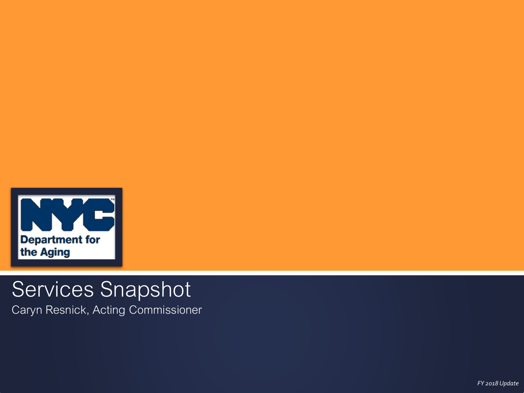

# Services Snapshot

Caryn Resnick, Acting Commissioner

*FY 2018 Update*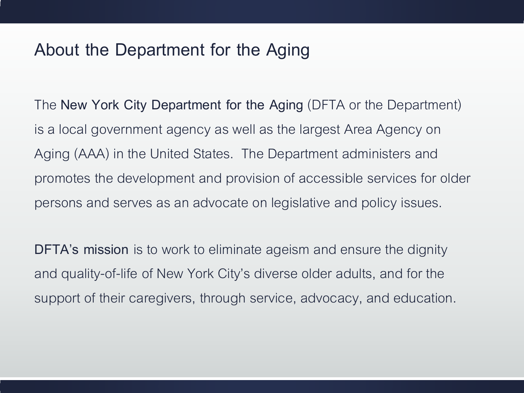### **About the Department for the Aging**

The **New York City Department for the Aging** (DFTA or the Department) is a local government agency as well as the largest Area Agency on Aging (AAA) in the United States. The Department administers and promotes the development and provision of accessible services for older persons and serves as an advocate on legislative and policy issues.

**DFTA's mission** is to work to eliminate ageism and ensure the dignity and quality-of-life of New York City's diverse older adults, and for the support of their caregivers, through service, advocacy, and education.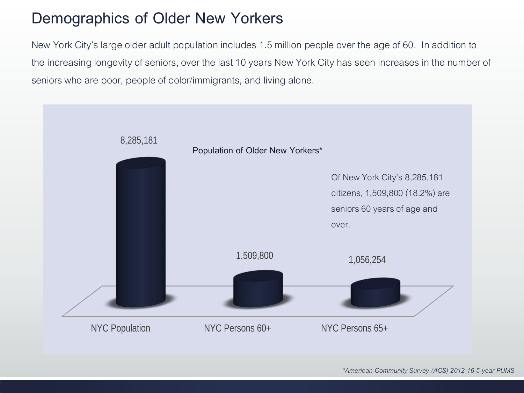# **Demographics of Older New Yorkers**

New York City's large older adult population includes 1.5 million people over the age of 60. In addition to the increasing longevity of seniors, over the last 10 years New York City has seen increases in the number of seniors who are poor, people of color/immigrants, and living alone.

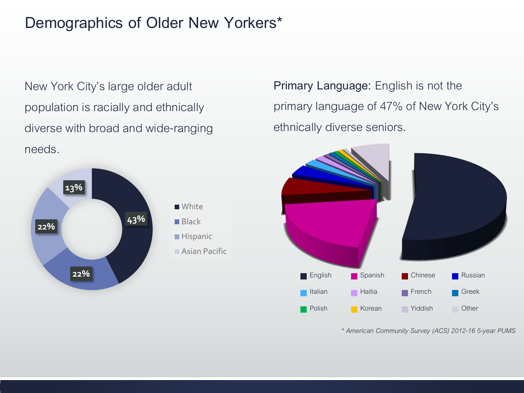### **Demographics of Older New Yorkers\***

New York City's large older adult population is racially and ethnically diverse with broad and wide-ranging needs.



**Primary Language:** English is not the primary language of 47% of New York City's ethnically diverse seniors.



*\* American Community Survey (ACS) 2012-16 5-year PUMS*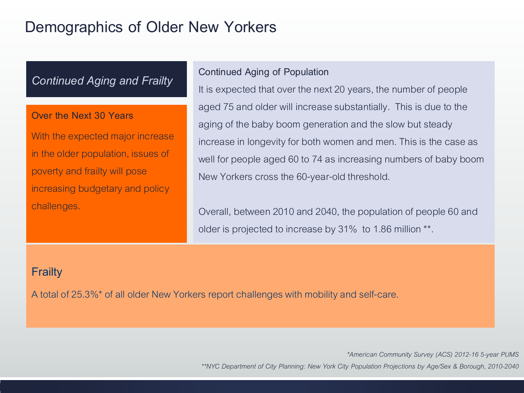### **Demographics of Older New Yorkers**

### *Continued Aging and Frailty*

### **Over the Next 30 Years**

With the expected major increase in the older population, issues of poverty and frailty will pose increasing budgetary and policy challenges.

### **Continued Aging of Population**

It is expected that over the next 20 years, the number of people aged 75 and older will increase substantially. This is due to the aging of the baby boom generation and the slow but steady increase in longevity for both women and men. This is the case as well for people aged 60 to 74 as increasing numbers of baby boom New Yorkers cross the 60-year-old threshold.

Overall, between 2010 and 2040, the population of people 60 and older is projected to increase by 31% to 1.86 million \*\*.

### **Frailty**

A total of 25.3%\* of all older New Yorkers report challenges with mobility and self-care.

*\*American Community Survey (ACS) 2012-16 5-year PUMS \*\*NYC Department of City Planning: New York City Population Projections by Age/Sex & Borough, 2010-2040*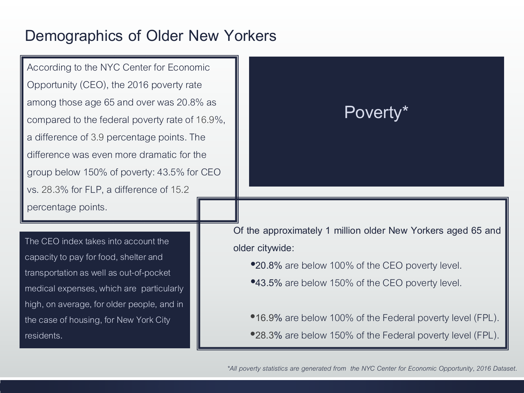### **Demographics of Older New Yorkers**

According to the NYC Center for Economic Opportunity (CEO), the 2016 poverty rate among those age 65 and over was 20.8% as compared to the federal poverty rate of 16.9%, a difference of 3.9 percentage points. The difference was even more dramatic for the group below 150% of poverty: 43.5% for CEO vs. 28.3% for FLP, a difference of 15.2 percentage points.

The CEO index takes into account the capacity to pay for food, shelter and transportation as well as out-of-pocket medical expenses, which are particularly high, on average, for older people, and in the case of housing, for New York City residents**.** 

# **Poverty\***

**Of the approximately 1 million older New Yorkers aged 65 and older citywide:**

•**20.8%** are below 100% of the CEO poverty level.

•**43.5%** are below 150% of the CEO poverty level.

•**16.9%** are below 100% of the Federal poverty level (FPL). •**28.3%** are below 150% of the Federal poverty level (FPL).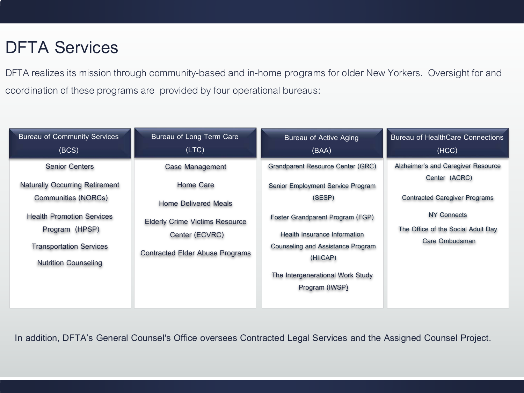# **DFTA Services**

DFTA realizes its mission through community-based and in-home programs for older New Yorkers. Oversight for and coordination of these programs are provided by four operational bureaus:

| <b>Bureau of Community Services</b>   | Bureau of Long Term Care               | <b>Bureau of Active Aging</b>                        | <b>Bureau of HealthCare Connections</b>              |
|---------------------------------------|----------------------------------------|------------------------------------------------------|------------------------------------------------------|
| (BCS)                                 | (LTC)                                  | (BAA)                                                | (HCC)                                                |
| <b>Senior Centers</b>                 | <b>Case Management</b>                 | Grandparent Resource Center (GRC)                    | Alzheimer's and Caregiver Resource<br>Center (ACRC)  |
| <b>Naturally Occurring Retirement</b> | Home Care                              | Senior Employment Service Program                    |                                                      |
| Communities (NORCs)                   | <b>Home Delivered Meals</b>            | (SESP)                                               | <b>Contracted Caregiver Programs</b>                 |
| <b>Health Promotion Services</b>      | <b>Elderly Crime Victims Resource</b>  | Foster Grandparent Program (FGP)                     | <b>NY Connects</b>                                   |
| Program (HPSP)                        | Center (ECVRC)                         | <b>Health Insurance Information</b>                  | The Office of the Social Adult Day<br>Care Ombudsman |
| <b>Transportation Services</b>        | <b>Contracted Elder Abuse Programs</b> | <b>Counseling and Assistance Program</b><br>(HIICAP) |                                                      |
| <b>Nutrition Counseling</b>           |                                        |                                                      |                                                      |
|                                       |                                        | The Intergenerational Work Study                     |                                                      |
|                                       |                                        | Program (IWSP)                                       |                                                      |

**In addition, DFTA's General Counsel's Office oversees Contracted Legal Services and the Assigned Counsel Project.**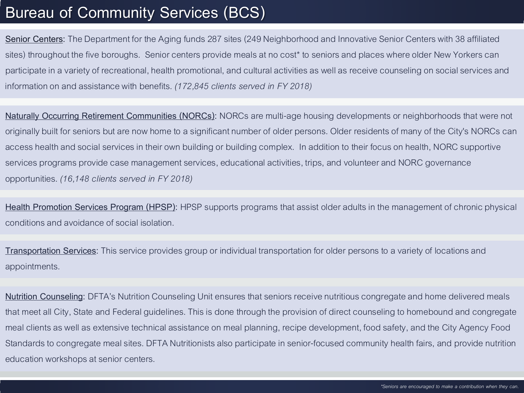### **Bureau of Community Services (BCS)**

**Senior Centers:** The Department for the Aging funds 287 sites (249 Neighborhood and Innovative Senior Centers with 38 affiliated sites) throughout the five boroughs. Senior centers provide meals at no cost\* to seniors and places where older New Yorkers can participate in a variety of recreational, health promotional, and cultural activities as well as receive counseling on socialservices and information on and assistance with benefits. *(172,845 clients served in FY 2018)*

**Naturally Occurring Retirement Communities (NORCs):** NORCs are multi-age housing developments or neighborhoods that were not originally built for seniors but are now home to a significant number of older persons. Older residents of many of the City's NORCs can access health and social services in their own building or building complex. In addition to their focus on health, NORC supportive services programs provide case management services, educational activities, trips, and volunteer and NORC governance opportunities. *(16,148 clients served in FY 2018)*

**Health Promotion Services Program (HPSP):** HPSP supports programs that assist older adults in the management of chronic physical conditions and avoidance of social isolation.

**Transportation Services:** This service provides group or individual transportation for older persons to a variety of locations and appointments.

**Nutrition Counseling:** DFTA's Nutrition Counseling Unit ensures that seniors receive nutritious congregate and home delivered meals that meet all City, State and Federal guidelines. This is done through the provision of direct counseling to homebound and congregate meal clients as well as extensive technical assistance on meal planning, recipe development, food safety, and the City Agency Food Standards to congregate meal sites. DFTA Nutritionists also participate in senior-focused community health fairs, and provide nutrition education workshops at senior centers.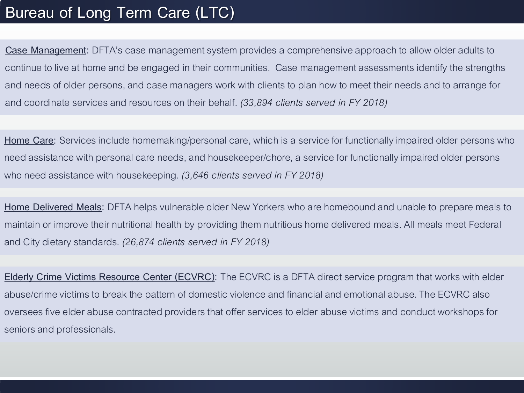# **Bureau of Long Term Care (LTC)**

**Case Management:** DFTA's case management system provides a comprehensive approach to allow older adults to continue to live at home and be engaged in their communities. Case management assessments identify the strengths and needs of older persons, and case managers work with clients to plan how to meet their needs and to arrange for and coordinate services and resources on their behalf. *(33,894 clients served in FY 2018)*

**Home Care:** Services include homemaking/personal care, which is a service for functionally impaired older persons who need assistance with personal care needs, and housekeeper/chore, a service for functionally impaired older persons who need assistance with housekeeping. *(3,646 clients served in FY 2018)*

**Home Delivered Meals:** DFTA helps vulnerable older New Yorkers who are homebound and unable to prepare meals to maintain or improve their nutritional health by providing them nutritious home delivered meals. All meals meet Federal and City dietary standards. *(26,874 clients served in FY 2018)*

**Elderly Crime Victims Resource Center (ECVRC):** The ECVRC is a DFTA direct service program that works with elder abuse/crime victims to break the pattern of domestic violence and financial and emotional abuse. The ECVRC also oversees five elder abuse contracted providers that offer services to elder abuse victims and conduct workshops for seniors and professionals.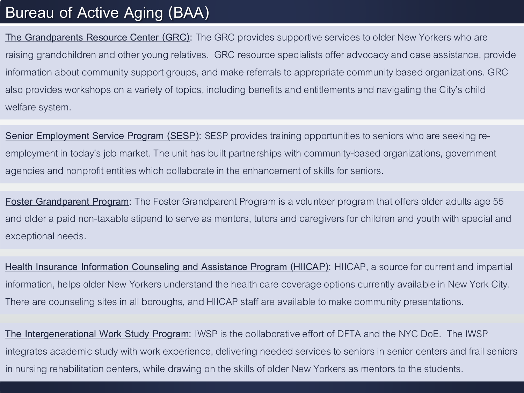### **Bureau of Active Aging (BAA)**

**The Grandparents Resource Center (GRC):** The GRC provides supportive services to older New Yorkers who are raising grandchildren and other young relatives. GRC resource specialists offer advocacy and case assistance, provide information about community support groups, and make referrals to appropriate community based organizations. GRC also provides workshops on a variety of topics, including benefits and entitlements and navigating the City's child welfare system.

**Senior Employment Service Program (SESP):** SESP provides training opportunities to seniors who are seeking reemployment in today's job market. The unit has built partnerships with community-based organizations, government agencies and nonprofit entities which collaborate in the enhancement of skills for seniors.

**Foster Grandparent Program:** The Foster Grandparent Program is a volunteer program that offers older adults age 55 and older a paid non-taxable stipend to serve as mentors, tutors and caregivers for children and youth with special and exceptional needs.

**Health Insurance Information Counseling and Assistance Program (HIICAP):** HIICAP, a source for current and impartial information, helps older New Yorkers understand the health care coverage options currently available in New York City. There are counseling sites in all boroughs, and HIICAP staff are available to make community presentations.

**The Intergenerational Work Study Program:** IWSP is the collaborative effort of DFTA and the NYC DoE. The IWSP integrates academic study with work experience, delivering needed services to seniors in senior centers and frail seniors in nursing rehabilitation centers, while drawing on the skills of older New Yorkers as mentors to the students.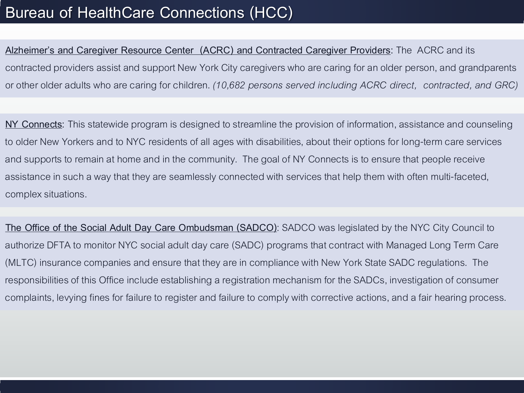# **Bureau of HealthCare Connections (HCC)**

**Alzheimer's and Caregiver Resource Center (ACRC) and Contracted Caregiver Providers:** The ACRC and its contracted providers assist and support New York City caregivers who are caring for an older person, and grandparents or other older adults who are caring for children. *(10,682 persons served including ACRC direct, contracted, and GRC)*

**NY Connects:** This statewide program is designed to streamline the provision of information, assistance and counseling to older New Yorkers and to NYC residents of all ages with disabilities, about their options for long-term care services and supports to remain at home and in the community. The goal of NY Connects is to ensure that people receive assistance in such a way that they are seamlessly connected with services that help them with often multi-faceted, complex situations.

**The Office of the Social Adult Day Care Ombudsman (SADCO)**: SADCO was legislated by the NYC City Council to authorize DFTA to monitor NYC social adult day care (SADC) programs that contract with Managed Long Term Care (MLTC) insurance companies and ensure that they are in compliance with New York State SADC regulations. The responsibilities of this Office include establishing a registration mechanism for the SADCs, investigation of consumer complaints, levying fines for failure to register and failure to comply with corrective actions, and a fair hearing process.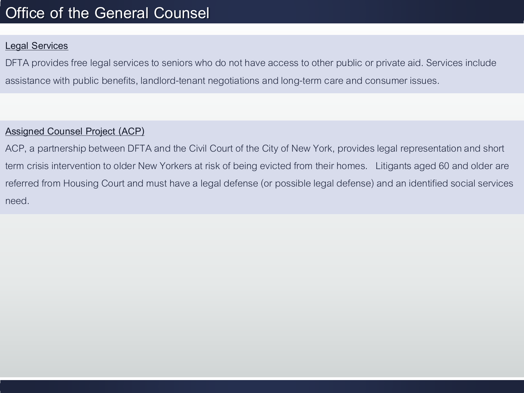# **Office of the General Counsel**

### **Legal Services**

DFTA provides free legal services to seniors who do not have access to other public or private aid. Services include assistance with public benefits, landlord-tenant negotiations and long-term care and consumer issues.

### **Assigned Counsel Project (ACP)**

ACP, a partnership between DFTA and the Civil Court of the City of New York, provides legal representation and short term crisis intervention to older New Yorkers at risk of being evicted from their homes. Litigants aged 60 and older are referred from Housing Court and must have a legal defense (or possible legal defense) and an identified social services need.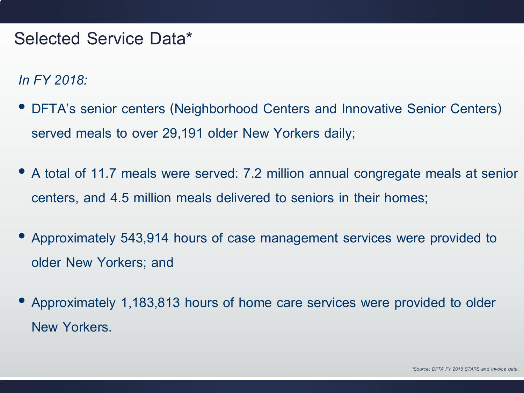# **Selected Service Data\***

*In FY 2018:*

- **DFTA's senior centers (Neighborhood Centers and Innovative Senior Centers) served meals to over 29,191 older New Yorkers daily;**
- **A total of 11.7 meals were served: 7.2 million annual congregate meals at senior centers, and 4.5 million meals delivered to seniors in their homes;**
- **Approximately 543,914 hours of case management services were provided to older New Yorkers; and**
- **Approximately 1,183,813 hours of home care services were provided to older New Yorkers.**